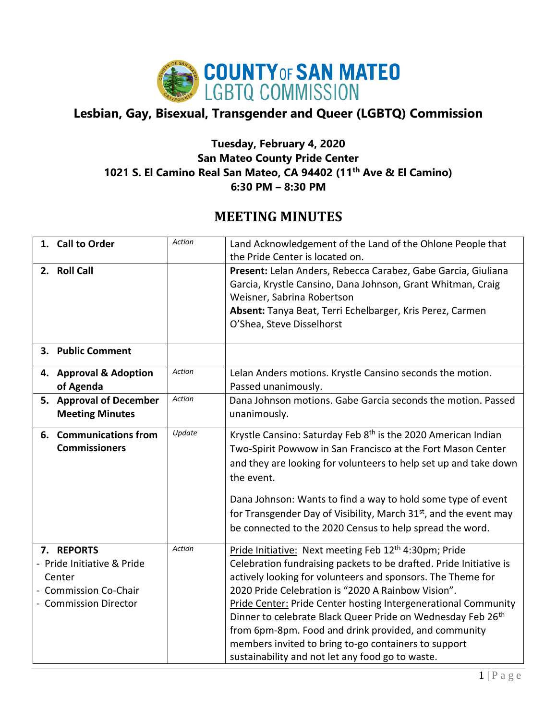

## **Lesbian, Gay, Bisexual, Transgender and Queer (LGBTQ) Commission**

## **Tuesday, February 4, 2020 San Mateo County Pride Center 1021 S. El Camino Real San Mateo, CA 94402 (11th Ave & El Camino) 6:30 PM – 8:30 PM**

## **MEETING MINUTES**

| 1. Call to Order                                                                                          | <b>Action</b> | Land Acknowledgement of the Land of the Ohlone People that<br>the Pride Center is located on.                                                                                                                                                                                                                                                                                                                                                                                                                                                                            |
|-----------------------------------------------------------------------------------------------------------|---------------|--------------------------------------------------------------------------------------------------------------------------------------------------------------------------------------------------------------------------------------------------------------------------------------------------------------------------------------------------------------------------------------------------------------------------------------------------------------------------------------------------------------------------------------------------------------------------|
| 2. Roll Call                                                                                              |               | Present: Lelan Anders, Rebecca Carabez, Gabe Garcia, Giuliana<br>Garcia, Krystle Cansino, Dana Johnson, Grant Whitman, Craig<br>Weisner, Sabrina Robertson<br>Absent: Tanya Beat, Terri Echelbarger, Kris Perez, Carmen<br>O'Shea, Steve Disselhorst                                                                                                                                                                                                                                                                                                                     |
| 3. Public Comment                                                                                         |               |                                                                                                                                                                                                                                                                                                                                                                                                                                                                                                                                                                          |
| 4. Approval & Adoption<br>of Agenda                                                                       | Action        | Lelan Anders motions. Krystle Cansino seconds the motion.<br>Passed unanimously.                                                                                                                                                                                                                                                                                                                                                                                                                                                                                         |
| 5. Approval of December<br><b>Meeting Minutes</b>                                                         | Action        | Dana Johnson motions. Gabe Garcia seconds the motion. Passed<br>unanimously.                                                                                                                                                                                                                                                                                                                                                                                                                                                                                             |
| 6. Communications from<br><b>Commissioners</b>                                                            | Update        | Krystle Cansino: Saturday Feb 8 <sup>th</sup> is the 2020 American Indian<br>Two-Spirit Powwow in San Francisco at the Fort Mason Center<br>and they are looking for volunteers to help set up and take down<br>the event.<br>Dana Johnson: Wants to find a way to hold some type of event<br>for Transgender Day of Visibility, March 31 <sup>st</sup> , and the event may<br>be connected to the 2020 Census to help spread the word.                                                                                                                                  |
| 7. REPORTS<br>- Pride Initiative & Pride<br>Center<br><b>Commission Co-Chair</b><br>- Commission Director | <b>Action</b> | Pride Initiative: Next meeting Feb 12 <sup>th</sup> 4:30pm; Pride<br>Celebration fundraising packets to be drafted. Pride Initiative is<br>actively looking for volunteers and sponsors. The Theme for<br>2020 Pride Celebration is "2020 A Rainbow Vision".<br><b>Pride Center: Pride Center hosting Intergenerational Community</b><br>Dinner to celebrate Black Queer Pride on Wednesday Feb 26th<br>from 6pm-8pm. Food and drink provided, and community<br>members invited to bring to-go containers to support<br>sustainability and not let any food go to waste. |